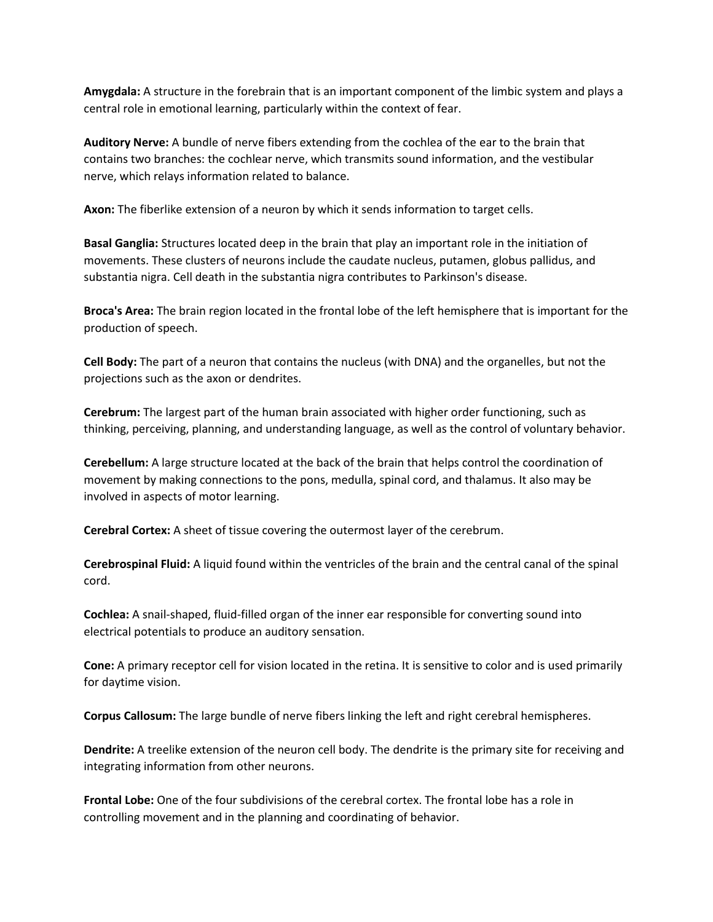**Amygdala:** A structure in the forebrain that is an important component of the limbic system and plays a central role in emotional learning, particularly within the context of fear.

**Auditory Nerve:** A bundle of nerve fibers extending from the cochlea of the ear to the brain that contains two branches: the cochlear nerve, which transmits sound information, and the vestibular nerve, which relays information related to balance.

**Axon:** The fiberlike extension of a neuron by which it sends information to target cells.

**Basal Ganglia:** Structures located deep in the brain that play an important role in the initiation of movements. These clusters of neurons include the caudate nucleus, putamen, globus pallidus, and substantia nigra. Cell death in the substantia nigra contributes to Parkinson's disease.

**Broca's Area:** The brain region located in the frontal lobe of the left hemisphere that is important for the production of speech.

**Cell Body:** The part of a neuron that contains the nucleus (with DNA) and the organelles, but not the projections such as the axon or dendrites.

**Cerebrum:** The largest part of the human brain associated with higher order functioning, such as thinking, perceiving, planning, and understanding language, as well as the control of voluntary behavior.

**Cerebellum:** A large structure located at the back of the brain that helps control the coordination of movement by making connections to the pons, medulla, spinal cord, and thalamus. It also may be involved in aspects of motor learning.

**Cerebral Cortex:** A sheet of tissue covering the outermost layer of the cerebrum.

**Cerebrospinal Fluid:** A liquid found within the ventricles of the brain and the central canal of the spinal cord.

**Cochlea:** A snail-shaped, fluid-filled organ of the inner ear responsible for converting sound into electrical potentials to produce an auditory sensation.

**Cone:** A primary receptor cell for vision located in the retina. It is sensitive to color and is used primarily for daytime vision.

**Corpus Callosum:** The large bundle of nerve fibers linking the left and right cerebral hemispheres.

**Dendrite:** A treelike extension of the neuron cell body. The dendrite is the primary site for receiving and integrating information from other neurons.

**Frontal Lobe:** One of the four subdivisions of the cerebral cortex. The frontal lobe has a role in controlling movement and in the planning and coordinating of behavior.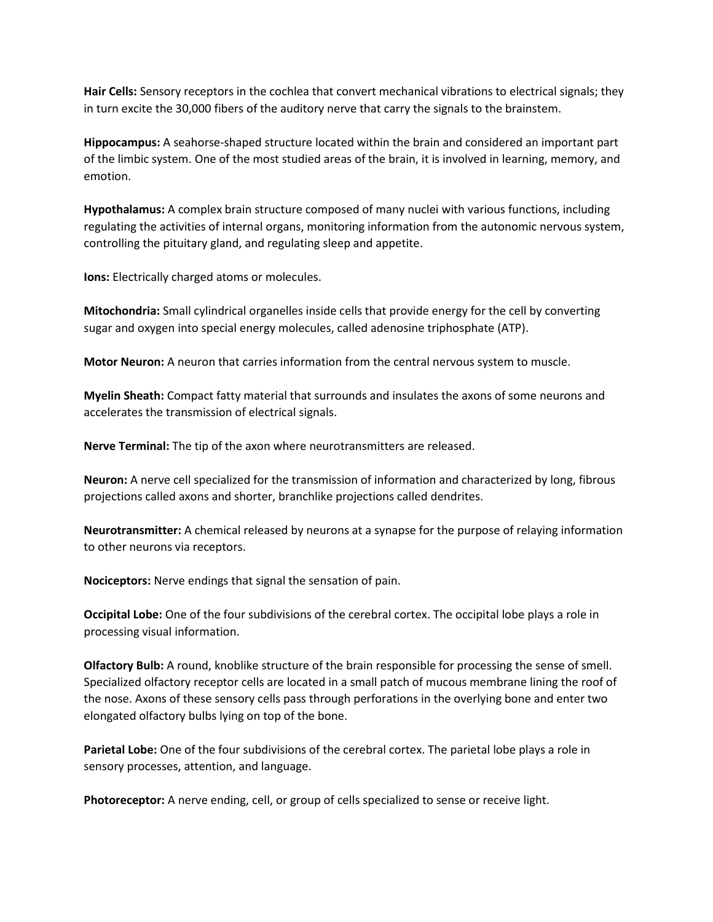**Hair Cells:** Sensory receptors in the cochlea that convert mechanical vibrations to electrical signals; they in turn excite the 30,000 fibers of the auditory nerve that carry the signals to the brainstem.

**Hippocampus:** A seahorse-shaped structure located within the brain and considered an important part of the limbic system. One of the most studied areas of the brain, it is involved in learning, memory, and emotion.

**Hypothalamus:** A complex brain structure composed of many nuclei with various functions, including regulating the activities of internal organs, monitoring information from the autonomic nervous system, controlling the pituitary gland, and regulating sleep and appetite.

**Ions:** Electrically charged atoms or molecules.

**Mitochondria:** Small cylindrical organelles inside cells that provide energy for the cell by converting sugar and oxygen into special energy molecules, called adenosine triphosphate (ATP).

**Motor Neuron:** A neuron that carries information from the central nervous system to muscle.

**Myelin Sheath:** Compact fatty material that surrounds and insulates the axons of some neurons and accelerates the transmission of electrical signals.

**Nerve Terminal:** The tip of the axon where neurotransmitters are released.

**Neuron:** A nerve cell specialized for the transmission of information and characterized by long, fibrous projections called axons and shorter, branchlike projections called dendrites.

**Neurotransmitter:** A chemical released by neurons at a synapse for the purpose of relaying information to other neurons via receptors.

**Nociceptors:** Nerve endings that signal the sensation of pain.

**Occipital Lobe:** One of the four subdivisions of the cerebral cortex. The occipital lobe plays a role in processing visual information.

**Olfactory Bulb:** A round, knoblike structure of the brain responsible for processing the sense of smell. Specialized olfactory receptor cells are located in a small patch of mucous membrane lining the roof of the nose. Axons of these sensory cells pass through perforations in the overlying bone and enter two elongated olfactory bulbs lying on top of the bone.

**Parietal Lobe:** One of the four subdivisions of the cerebral cortex. The parietal lobe plays a role in sensory processes, attention, and language.

**Photoreceptor:** A nerve ending, cell, or group of cells specialized to sense or receive light.